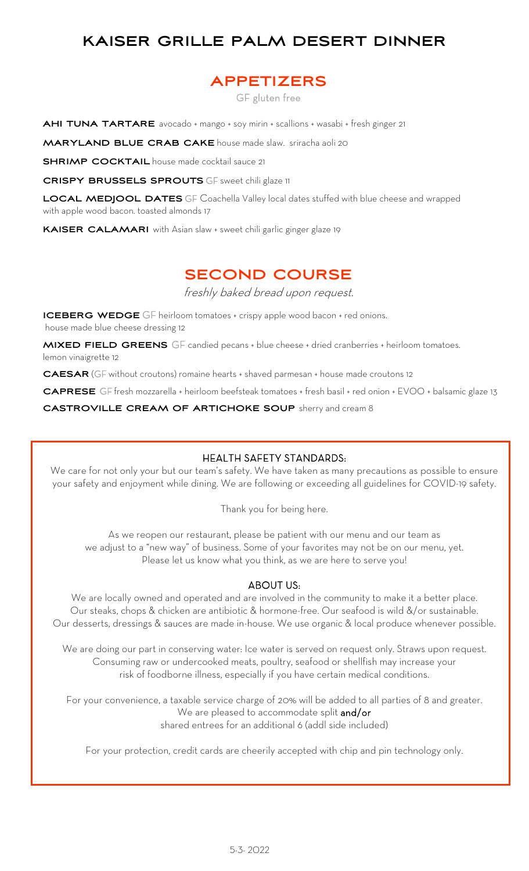# **KAISER GRILLE PALM DESERT DINNER**

## **APPETIZERS**

GF gluten free

**AHI TUNA TARTARE** avocado + mango + soy mirin + scallions + wasabi + fresh ginger 21

**MARYLAND BLUE CRAB CAKE** house made slaw. sriracha aoli 20

**SHRIMP COCKTAIL** house made cocktail sauce 21

**CRISPY BRUSSELS SPROUTS** GF sweet chili glaze 11

**LOCAL MEDJOOL DATES** GF Coachella Valley local dates stuffed with blue cheese and wrapped with apple wood bacon. toasted almonds 17

**KAISER CALAMARI** with Asian slaw + sweet chili garlic ginger glaze 19

# **SECOND COURSE**

freshly baked bread upon request.

**ICEBERG WEDGE** GF heirloom tomatoes + crispy apple wood bacon + red onions. house made blue cheese dressing 12

**MIXED FIELD GREENS** GF candied pecans + blue cheese + dried cranberries + heirloom tomatoes. lemon vinaigrette 12

**CAESAR** (GF without croutons) romaine hearts + shaved parmesan + house made croutons 12

**CAPRESE** GF fresh mozzarella + heirloom beefsteak tomatoes + fresh basil + red onion + EVOO + balsamic glaze 13

**CASTROVILLE CREAM OF ARTICHOKE SOUP** sherry and cream 8

### HEALTH SAFETY STANDARDS:

We care for not only your but our team's safety. We have taken as many precautions as possible to ensure your safety and enjoyment while dining. We are following or exceeding all guidelines for COVID-19 safety.

Thank you for being here.

As we reopen our restaurant, please be patient with our menu and our team as we adjust to a "new way" of business. Some of your favorites may not be on our menu, yet. Please let us know what you think, as we are here to serve you!

### ABOUT US:

We are locally owned and operated and are involved in the community to make it a better place. Our steaks, chops & chicken are antibiotic & hormone-free. Our seafood is wild &/or sustainable. Our desserts, dressings & sauces are made in-house. We use organic & local produce whenever possible.

We are doing our part in conserving water: Ice water is served on request only. Straws upon request. Consuming raw or undercooked meats, poultry, seafood or shellfish may increase your risk of foodborne illness, especially if you have certain medical conditions.

For your convenience, a taxable service charge of 20% will be added to all parties of 8 and greater. We are pleased to accommodate split and/or shared entrees for an additional 6 (addl side included)

For your protection, credit cards are cheerily accepted with chip and pin technology only.